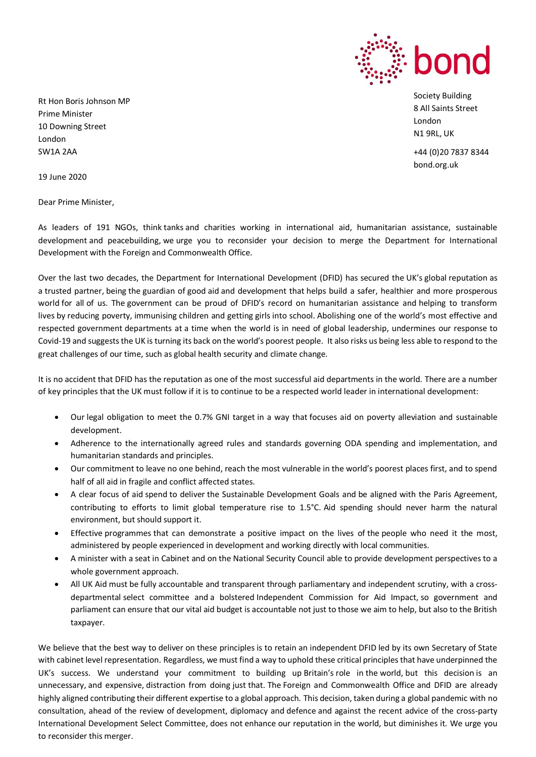

Society Building 8 All Saints Street London N1 9RL, UK

+44 (0)20 7837 8344 bond.org.uk

Rt Hon Boris Johnson MP Prime Minister 10 Downing Street London SW1A 2AA

19 June 2020

Dear Prime Minister,

As leaders of 191 NGOs, think tanks and charities working in international aid, humanitarian assistance, sustainable development and peacebuilding, we urge you to reconsider your decision to merge the Department for International Development with the Foreign and Commonwealth Office.

Over the last two decades, the Department for International Development (DFID) has secured the UK's global reputation as a trusted partner, being the guardian of good aid and development that helps build a safer, healthier and more prosperous world for all of us. The government can be proud of DFID's record on humanitarian assistance and helping to transform lives by reducing poverty, immunising children and getting girls into school. Abolishing one of the world's most effective and respected government departments at a time when the world is in need of global leadership, undermines our response to Covid-19 and suggests the UK is turning its back on the world's poorest people. It also risks us being less able to respond to the great challenges of our time, such as global health security and climate change.

It is no accident that DFID has the reputation as one of the most successful aid departments in the world. There are a number of key principles that the UK must follow if it is to continue to be a respected world leader in international development:

- Our legal obligation to meet the 0.7% GNI target in a way that focuses aid on poverty alleviation and sustainable development.
- Adherence to the internationally agreed rules and standards governing ODA spending and implementation, and humanitarian standards and principles.
- Our commitment to leave no one behind, reach the most vulnerable in the world's poorest places first, and to spend half of all aid in fragile and conflict affected states.
- A clear focus of aid spend to deliver the Sustainable Development Goals and be aligned with the Paris Agreement, contributing to efforts to limit global temperature rise to 1.5°C. Aid spending should never harm the natural environment, but should support it.
- Effective programmes that can demonstrate a positive impact on the lives of the people who need it the most, administered by people experienced in development and working directly with local communities.
- A minister with a seat in Cabinet and on the National Security Council able to provide development perspectives to a whole government approach.
- All UK Aid must be fully accountable and transparent through parliamentary and independent scrutiny, with a crossdepartmental select committee and a bolstered Independent Commission for Aid Impact, so government and parliament can ensure that our vital aid budget is accountable not just to those we aim to help, but also to the British taxpayer.

We believe that the best way to deliver on these principles is to retain an independent DFID led by its own Secretary of State with cabinet level representation. Regardless, we must find a way to uphold these critical principles that have underpinned the UK's success. We understand your commitment to building up Britain's role in the world, but this decision is an unnecessary, and expensive, distraction from doing just that. The Foreign and Commonwealth Office and DFID are already highly aligned contributing their different expertise to a global approach. This decision, taken during a global pandemic with no consultation, ahead of the review of development, diplomacy and defence and against the recent advice of the cross-party International Development Select Committee, does not enhance our reputation in the world, but diminishes it. We urge you to reconsider this merger.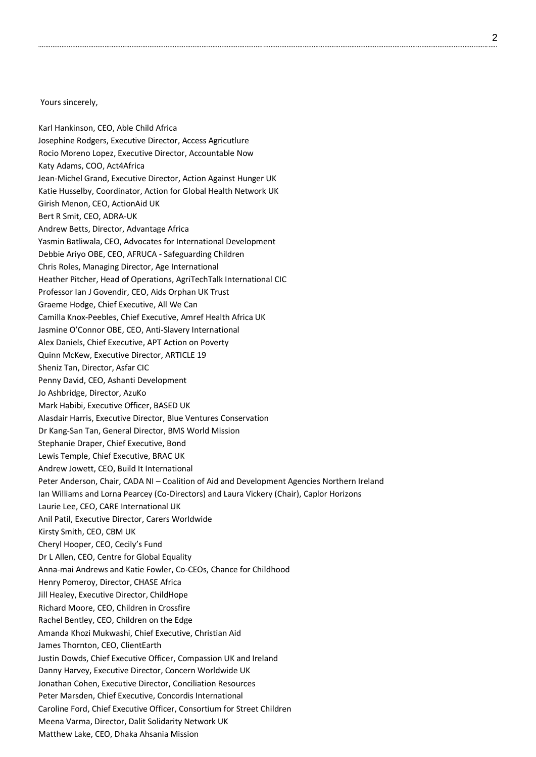Yours sincerely,

Karl Hankinson, CEO, Able Child Africa Josephine Rodgers, Executive Director, Access Agricutlure Rocio Moreno Lopez, Executive Director, Accountable Now Katy Adams, COO, Act4Africa Jean-Michel Grand, Executive Director, Action Against Hunger UK Katie Husselby, Coordinator, Action for Global Health Network UK Girish Menon, CEO, ActionAid UK Bert R Smit, CEO, ADRA-UK Andrew Betts, Director, Advantage Africa Yasmin Batliwala, CEO, Advocates for International Development Debbie Ariyo OBE, CEO, AFRUCA - Safeguarding Children Chris Roles, Managing Director, Age International Heather Pitcher, Head of Operations, AgriTechTalk International CIC Professor Ian J Govendir, CEO, Aids Orphan UK Trust Graeme Hodge, Chief Executive, All We Can Camilla Knox-Peebles, Chief Executive, Amref Health Africa UK Jasmine O'Connor OBE, CEO, Anti-Slavery International Alex Daniels, Chief Executive, APT Action on Poverty Quinn McKew, Executive Director, ARTICLE 19 Sheniz Tan, Director, Asfar CIC Penny David, CEO, Ashanti Development Jo Ashbridge, Director, AzuKo Mark Habibi, Executive Officer, BASED UK Alasdair Harris, Executive Director, Blue Ventures Conservation Dr Kang-San Tan, General Director, BMS World Mission Stephanie Draper, Chief Executive, Bond Lewis Temple, Chief Executive, BRAC UK Andrew Jowett, CEO, Build It International Peter Anderson, Chair, CADA NI – Coalition of Aid and Development Agencies Northern Ireland Ian Williams and Lorna Pearcey (Co-Directors) and Laura Vickery (Chair), Caplor Horizons Laurie Lee, CEO, CARE International UK Anil Patil, Executive Director, Carers Worldwide Kirsty Smith, CEO, CBM UK Cheryl Hooper, CEO, Cecily's Fund Dr L Allen, CEO, Centre for Global Equality Anna-mai Andrews and Katie Fowler, Co-CEOs, Chance for Childhood Henry Pomeroy, Director, CHASE Africa Jill Healey, Executive Director, ChildHope Richard Moore, CEO, Children in Crossfire Rachel Bentley, CEO, Children on the Edge Amanda Khozi Mukwashi, Chief Executive, Christian Aid James Thornton, CEO, ClientEarth Justin Dowds, Chief Executive Officer, Compassion UK and Ireland Danny Harvey, Executive Director, Concern Worldwide UK Jonathan Cohen, Executive Director, Conciliation Resources Peter Marsden, Chief Executive, Concordis International Caroline Ford, Chief Executive Officer, Consortium for Street Children Meena Varma, Director, Dalit Solidarity Network UK

Matthew Lake, CEO, Dhaka Ahsania Mission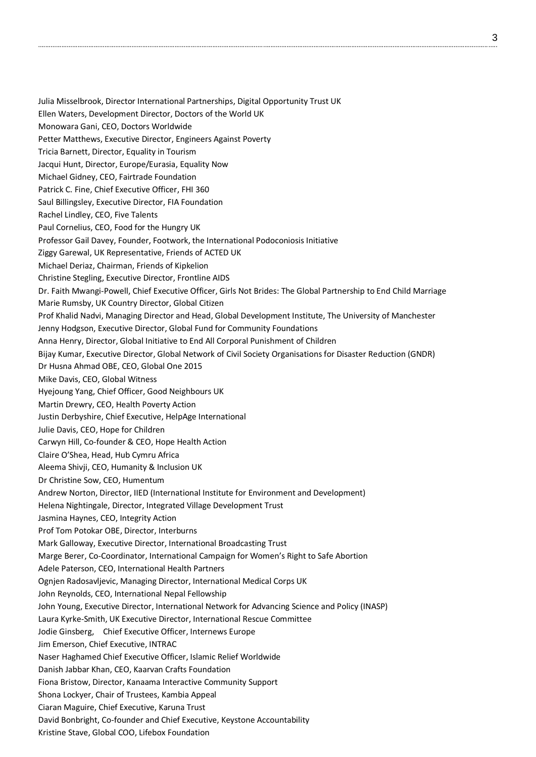Julia Misselbrook, Director International Partnerships, Digital Opportunity Trust UK Ellen Waters, Development Director, Doctors of the World UK Monowara Gani, CEO, Doctors Worldwide Petter Matthews, Executive Director, Engineers Against Poverty Tricia Barnett, Director, Equality in Tourism Jacqui Hunt, Director, Europe/Eurasia, Equality Now Michael Gidney, CEO, Fairtrade Foundation Patrick C. Fine, Chief Executive Officer, FHI 360 Saul Billingsley, Executive Director, FIA Foundation Rachel Lindley, CEO, Five Talents Paul Cornelius, CEO, Food for the Hungry UK Professor Gail Davey, Founder, Footwork, the International Podoconiosis Initiative Ziggy Garewal, UK Representative, Friends of ACTED UK Michael Deriaz, Chairman, Friends of Kipkelion Christine Stegling, Executive Director, Frontline AIDS Dr. Faith Mwangi-Powell, Chief Executive Officer, Girls Not Brides: The Global Partnership to End Child Marriage Marie Rumsby, UK Country Director, Global Citizen Prof Khalid Nadvi, Managing Director and Head, Global Development Institute, The University of Manchester Jenny Hodgson, Executive Director, Global Fund for Community Foundations Anna Henry, Director, Global Initiative to End All Corporal Punishment of Children Bijay Kumar, Executive Director, Global Network of Civil Society Organisations for Disaster Reduction (GNDR) Dr Husna Ahmad OBE, CEO, Global One 2015 Mike Davis, CEO, Global Witness Hyejoung Yang, Chief Officer, Good Neighbours UK Martin Drewry, CEO, Health Poverty Action Justin Derbyshire, Chief Executive, HelpAge International Julie Davis, CEO, Hope for Children Carwyn Hill, Co-founder & CEO, Hope Health Action Claire O'Shea, Head, Hub Cymru Africa Aleema Shivji, CEO, Humanity & Inclusion UK Dr Christine Sow, CEO, Humentum Andrew Norton, Director, IIED (International Institute for Environment and Development) Helena Nightingale, Director, Integrated Village Development Trust Jasmina Haynes, CEO, Integrity Action Prof Tom Potokar OBE, Director, Interburns Mark Galloway, Executive Director, International Broadcasting Trust Marge Berer, Co-Coordinator, International Campaign for Women's Right to Safe Abortion Adele Paterson, CEO, International Health Partners Ognjen Radosavljevic, Managing Director, International Medical Corps UK John Reynolds, CEO, International Nepal Fellowship John Young, Executive Director, International Network for Advancing Science and Policy (INASP) Laura Kyrke-Smith, UK Executive Director, International Rescue Committee Jodie Ginsberg, Chief Executive Officer, Internews Europe Jim Emerson, Chief Executive, INTRAC Naser Haghamed Chief Executive Officer, Islamic Relief Worldwide Danish Jabbar Khan, CEO, Kaarvan Crafts Foundation Fiona Bristow, Director, Kanaama Interactive Community Support Shona Lockyer, Chair of Trustees, Kambia Appeal Ciaran Maguire, Chief Executive, Karuna Trust David Bonbright, Co-founder and Chief Executive, Keystone Accountability

Kristine Stave, Global COO, Lifebox Foundation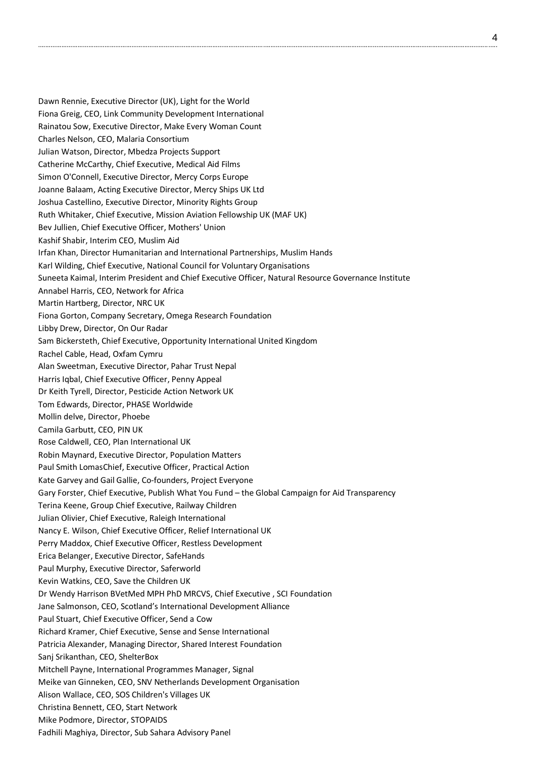Dawn Rennie, Executive Director (UK), Light for the World Fiona Greig, CEO, Link Community Development International Rainatou Sow, Executive Director, Make Every Woman Count Charles Nelson, CEO, Malaria Consortium Julian Watson, Director, Mbedza Projects Support Catherine McCarthy, Chief Executive, Medical Aid Films Simon O'Connell, Executive Director, Mercy Corps Europe Joanne Balaam, Acting Executive Director, Mercy Ships UK Ltd Joshua Castellino, Executive Director, Minority Rights Group Ruth Whitaker, Chief Executive, Mission Aviation Fellowship UK (MAF UK) Bev Jullien, Chief Executive Officer, Mothers' Union Kashif Shabir, Interim CEO, Muslim Aid Irfan Khan, Director Humanitarian and International Partnerships, Muslim Hands Karl Wilding, Chief Executive, National Council for Voluntary Organisations Suneeta Kaimal, Interim President and Chief Executive Officer, Natural Resource Governance Institute Annabel Harris, CEO, Network for Africa Martin Hartberg, Director, NRC UK Fiona Gorton, Company Secretary, Omega Research Foundation Libby Drew, Director, On Our Radar Sam Bickersteth, Chief Executive, Opportunity International United Kingdom Rachel Cable, Head, Oxfam Cymru Alan Sweetman, Executive Director, Pahar Trust Nepal Harris Iqbal, Chief Executive Officer, Penny Appeal Dr Keith Tyrell, Director, Pesticide Action Network UK Tom Edwards, Director, PHASE Worldwide Mollin delve, Director, Phoebe Camila Garbutt, CEO, PIN UK Rose Caldwell, CEO, Plan International UK Robin Maynard, Executive Director, Population Matters Paul Smith LomasChief, Executive Officer, Practical Action Kate Garvey and Gail Gallie, Co-founders, Project Everyone Gary Forster, Chief Executive, Publish What You Fund – the Global Campaign for Aid Transparency Terina Keene, Group Chief Executive, Railway Children Julian Olivier, Chief Executive, Raleigh International Nancy E. Wilson, Chief Executive Officer, Relief International UK Perry Maddox, Chief Executive Officer, Restless Development Erica Belanger, Executive Director, SafeHands Paul Murphy, Executive Director, Saferworld Kevin Watkins, CEO, Save the Children UK Dr Wendy Harrison BVetMed MPH PhD MRCVS, Chief Executive , SCI Foundation Jane Salmonson, CEO, Scotland's International Development Alliance Paul Stuart, Chief Executive Officer, Send a Cow Richard Kramer, Chief Executive, Sense and Sense International Patricia Alexander, Managing Director, Shared Interest Foundation Sanj Srikanthan, CEO, ShelterBox Mitchell Payne, International Programmes Manager, Signal Meike van Ginneken, CEO, SNV Netherlands Development Organisation Alison Wallace, CEO, SOS Children's Villages UK Christina Bennett, CEO, Start Network Mike Podmore, Director, STOPAIDS Fadhili Maghiya, Director, Sub Sahara Advisory Panel